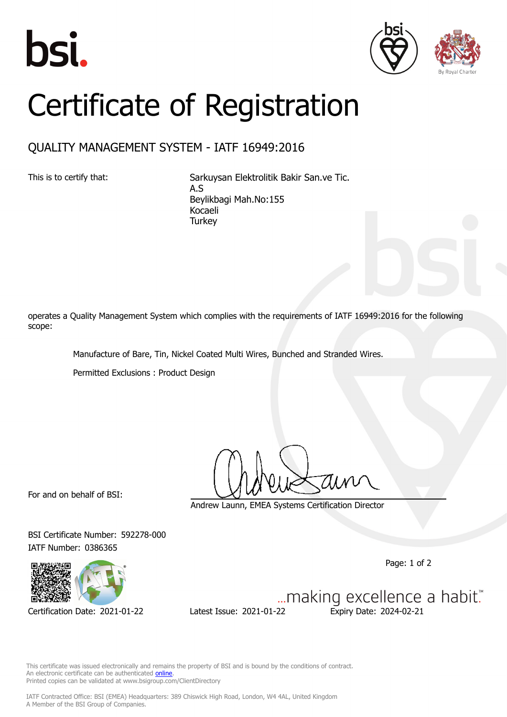





## Certificate of Registration

## QUALITY MANAGEMENT SYSTEM - IATF 16949:2016

This is to certify that: Sarkuysan Elektrolitik Bakir San.ve Tic. A.S Beylikbagi Mah.No:155 Kocaeli **Turkey** 

operates a Quality Management System which complies with the requirements of IATF 16949:2016 for the following scope:

Manufacture of Bare, Tin, Nickel Coated Multi Wires, Bunched and Stranded Wires.

Permitted Exclusions : Product Design

For and on behalf of BSI:

Andrew Launn, EMEA Systems Certification Director

BSI Certificate Number: 592278-000 IATF Number: 0386365

Page: 1 of 2



... making excellence a habit." Certification Date: 2021-01-22 Latest Issue: 2021-01-22 Expiry Date: 2024-02-21

This certificate was issued electronically and remains the property of BSI and is bound by the conditions of contract. An electronic certificate can be authenticated **[online](https://pgplus.bsigroup.com/CertificateValidation/CertificateValidator.aspx?CertificateNumber=TS+592278-000&ReIssueDate=22%2f01%2f2021&Template=cemea_en)** Printed copies can be validated at www.bsigroup.com/ClientDirectory

IATF Contracted Office: BSI (EMEA) Headquarters: 389 Chiswick High Road, London, W4 4AL, United Kingdom A Member of the BSI Group of Companies.